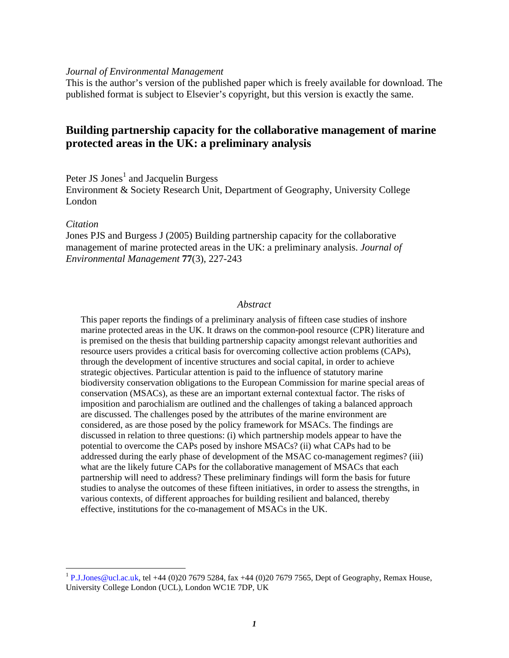#### *Journal of Environmental Management*

This is the author's version of the published paper which is freely available for download. The published format is subject to Elsevier's copyright, but this version is exactly the same.

# **Building partnership capacity for the collaborative management of marine protected areas in the UK: a preliminary analysis**

Peter JS Jones<sup>1</sup> and Jacquelin Burgess

Environment & Society Research Unit, Department of Geography, University College London

#### *Citation*

 $\overline{a}$ 

Jones PJS and Burgess J (2005) Building partnership capacity for the collaborative management of marine protected areas in the UK: a preliminary analysis. *Journal of Environmental Management* **77**(3), 227-243

#### *Abstract*

This paper reports the findings of a preliminary analysis of fifteen case studies of inshore marine protected areas in the UK. It draws on the common-pool resource (CPR) literature and is premised on the thesis that building partnership capacity amongst relevant authorities and resource users provides a critical basis for overcoming collective action problems (CAPs), through the development of incentive structures and social capital, in order to achieve strategic objectives. Particular attention is paid to the influence of statutory marine biodiversity conservation obligations to the European Commission for marine special areas of conservation (MSACs), as these are an important external contextual factor. The risks of imposition and parochialism are outlined and the challenges of taking a balanced approach are discussed. The challenges posed by the attributes of the marine environment are considered, as are those posed by the policy framework for MSACs. The findings are discussed in relation to three questions: (i) which partnership models appear to have the potential to overcome the CAPs posed by inshore MSACs? (ii) what CAPs had to be addressed during the early phase of development of the MSAC co-management regimes? (iii) what are the likely future CAPs for the collaborative management of MSACs that each partnership will need to address? These preliminary findings will form the basis for future studies to analyse the outcomes of these fifteen initiatives, in order to assess the strengths, in various contexts, of different approaches for building resilient and balanced, thereby effective, institutions for the co-management of MSACs in the UK.

<sup>&</sup>lt;sup>1</sup> P.J.Jones@ucl.ac.uk, tel +44 (0)20 7679 5284, fax +44 (0)20 7679 7565, Dept of Geography, Remax House, University College London (UCL), London WC1E 7DP, UK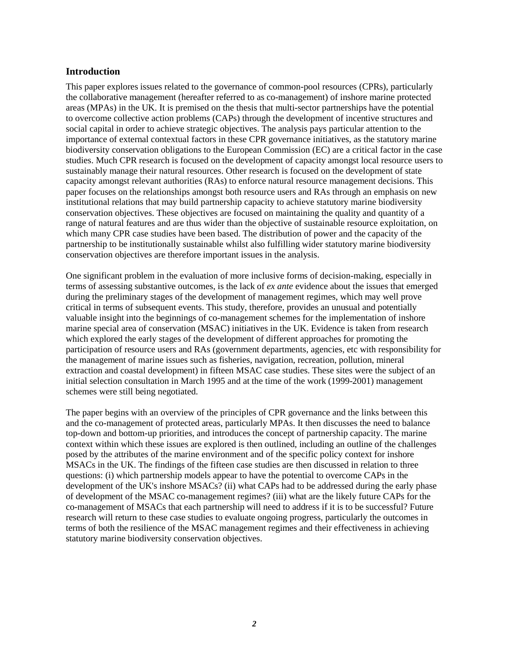## **Introduction**

This paper explores issues related to the governance of common-pool resources (CPRs), particularly the collaborative management (hereafter referred to as co-management) of inshore marine protected areas (MPAs) in the UK. It is premised on the thesis that multi-sector partnerships have the potential to overcome collective action problems (CAPs) through the development of incentive structures and social capital in order to achieve strategic objectives. The analysis pays particular attention to the importance of external contextual factors in these CPR governance initiatives, as the statutory marine biodiversity conservation obligations to the European Commission (EC) are a critical factor in the case studies. Much CPR research is focused on the development of capacity amongst local resource users to sustainably manage their natural resources. Other research is focused on the development of state capacity amongst relevant authorities (RAs) to enforce natural resource management decisions. This paper focuses on the relationships amongst both resource users and RAs through an emphasis on new institutional relations that may build partnership capacity to achieve statutory marine biodiversity conservation objectives. These objectives are focused on maintaining the quality and quantity of a range of natural features and are thus wider than the objective of sustainable resource exploitation, on which many CPR case studies have been based. The distribution of power and the capacity of the partnership to be institutionally sustainable whilst also fulfilling wider statutory marine biodiversity conservation objectives are therefore important issues in the analysis.

One significant problem in the evaluation of more inclusive forms of decision-making, especially in terms of assessing substantive outcomes, is the lack of *ex ante* evidence about the issues that emerged during the preliminary stages of the development of management regimes, which may well prove critical in terms of subsequent events. This study, therefore, provides an unusual and potentially valuable insight into the beginnings of co-management schemes for the implementation of inshore marine special area of conservation (MSAC) initiatives in the UK. Evidence is taken from research which explored the early stages of the development of different approaches for promoting the participation of resource users and RAs (government departments, agencies, etc with responsibility for the management of marine issues such as fisheries, navigation, recreation, pollution, mineral extraction and coastal development) in fifteen MSAC case studies. These sites were the subject of an initial selection consultation in March 1995 and at the time of the work (1999-2001) management schemes were still being negotiated.

The paper begins with an overview of the principles of CPR governance and the links between this and the co-management of protected areas, particularly MPAs. It then discusses the need to balance top-down and bottom-up priorities, and introduces the concept of partnership capacity. The marine context within which these issues are explored is then outlined, including an outline of the challenges posed by the attributes of the marine environment and of the specific policy context for inshore MSACs in the UK. The findings of the fifteen case studies are then discussed in relation to three questions: (i) which partnership models appear to have the potential to overcome CAPs in the development of the UK's inshore MSACs? (ii) what CAPs had to be addressed during the early phase of development of the MSAC co-management regimes? (iii) what are the likely future CAPs for the co-management of MSACs that each partnership will need to address if it is to be successful? Future research will return to these case studies to evaluate ongoing progress, particularly the outcomes in terms of both the resilience of the MSAC management regimes and their effectiveness in achieving statutory marine biodiversity conservation objectives.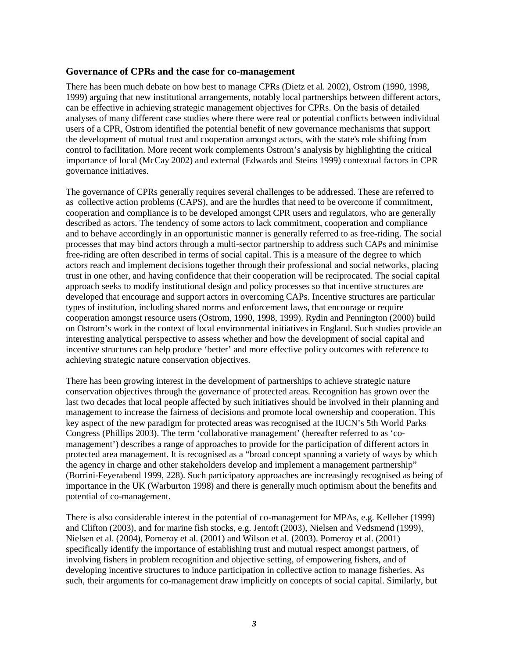### **Governance of CPRs and the case for co-management**

There has been much debate on how best to manage CPRs (Dietz et al. 2002), Ostrom (1990, 1998, 1999) arguing that new institutional arrangements, notably local partnerships between different actors, can be effective in achieving strategic management objectives for CPRs. On the basis of detailed analyses of many different case studies where there were real or potential conflicts between individual users of a CPR, Ostrom identified the potential benefit of new governance mechanisms that support the development of mutual trust and cooperation amongst actors, with the state's role shifting from control to facilitation. More recent work complements Ostrom's analysis by highlighting the critical importance of local (McCay 2002) and external (Edwards and Steins 1999) contextual factors in CPR governance initiatives.

The governance of CPRs generally requires several challenges to be addressed. These are referred to as collective action problems (CAPS), and are the hurdles that need to be overcome if commitment, cooperation and compliance is to be developed amongst CPR users and regulators, who are generally described as actors. The tendency of some actors to lack commitment, cooperation and compliance and to behave accordingly in an opportunistic manner is generally referred to as free-riding. The social processes that may bind actors through a multi-sector partnership to address such CAPs and minimise free-riding are often described in terms of social capital. This is a measure of the degree to which actors reach and implement decisions together through their professional and social networks, placing trust in one other, and having confidence that their cooperation will be reciprocated. The social capital approach seeks to modify institutional design and policy processes so that incentive structures are developed that encourage and support actors in overcoming CAPs. Incentive structures are particular types of institution, including shared norms and enforcement laws, that encourage or require cooperation amongst resource users (Ostrom, 1990, 1998, 1999). Rydin and Pennington (2000) build on Ostrom's work in the context of local environmental initiatives in England. Such studies provide an interesting analytical perspective to assess whether and how the development of social capital and incentive structures can help produce 'better' and more effective policy outcomes with reference to achieving strategic nature conservation objectives.

There has been growing interest in the development of partnerships to achieve strategic nature conservation objectives through the governance of protected areas. Recognition has grown over the last two decades that local people affected by such initiatives should be involved in their planning and management to increase the fairness of decisions and promote local ownership and cooperation. This key aspect of the new paradigm for protected areas was recognised at the IUCN's 5th World Parks Congress (Phillips 2003). The term 'collaborative management' (hereafter referred to as 'comanagement') describes a range of approaches to provide for the participation of different actors in protected area management. It is recognised as a "broad concept spanning a variety of ways by which the agency in charge and other stakeholders develop and implement a management partnership" (Borrini-Feyerabend 1999, 228). Such participatory approaches are increasingly recognised as being of importance in the UK (Warburton 1998) and there is generally much optimism about the benefits and potential of co-management.

There is also considerable interest in the potential of co-management for MPAs, e.g. Kelleher (1999) and Clifton (2003), and for marine fish stocks, e.g. Jentoft (2003), Nielsen and Vedsmend (1999), Nielsen et al. (2004), Pomeroy et al. (2001) and Wilson et al. (2003). Pomeroy et al. (2001) specifically identify the importance of establishing trust and mutual respect amongst partners, of involving fishers in problem recognition and objective setting, of empowering fishers, and of developing incentive structures to induce participation in collective action to manage fisheries. As such, their arguments for co-management draw implicitly on concepts of social capital. Similarly, but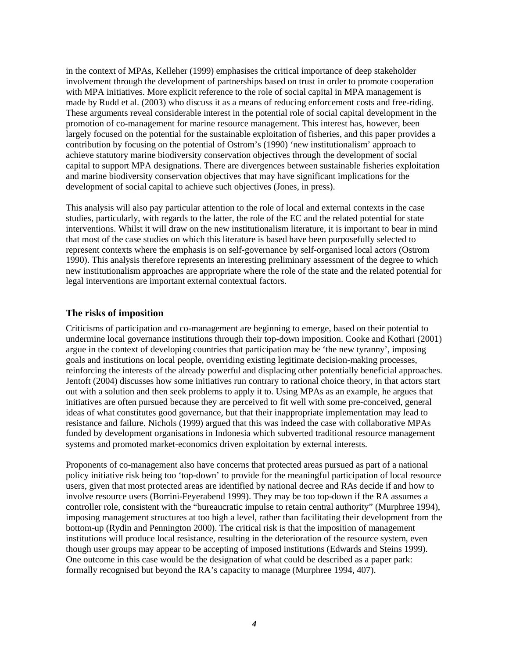in the context of MPAs, Kelleher (1999) emphasises the critical importance of deep stakeholder involvement through the development of partnerships based on trust in order to promote cooperation with MPA initiatives. More explicit reference to the role of social capital in MPA management is made by Rudd et al. (2003) who discuss it as a means of reducing enforcement costs and free-riding. These arguments reveal considerable interest in the potential role of social capital development in the promotion of co-management for marine resource management. This interest has, however, been largely focused on the potential for the sustainable exploitation of fisheries, and this paper provides a contribution by focusing on the potential of Ostrom's (1990) 'new institutionalism' approach to achieve statutory marine biodiversity conservation objectives through the development of social capital to support MPA designations. There are divergences between sustainable fisheries exploitation and marine biodiversity conservation objectives that may have significant implications for the development of social capital to achieve such objectives (Jones, in press).

This analysis will also pay particular attention to the role of local and external contexts in the case studies, particularly, with regards to the latter, the role of the EC and the related potential for state interventions. Whilst it will draw on the new institutionalism literature, it is important to bear in mind that most of the case studies on which this literature is based have been purposefully selected to represent contexts where the emphasis is on self-governance by self-organised local actors (Ostrom 1990). This analysis therefore represents an interesting preliminary assessment of the degree to which new institutionalism approaches are appropriate where the role of the state and the related potential for legal interventions are important external contextual factors.

### **The risks of imposition**

Criticisms of participation and co-management are beginning to emerge, based on their potential to undermine local governance institutions through their top-down imposition. Cooke and Kothari (2001) argue in the context of developing countries that participation may be 'the new tyranny', imposing goals and institutions on local people, overriding existing legitimate decision-making processes, reinforcing the interests of the already powerful and displacing other potentially beneficial approaches. Jentoft (2004) discusses how some initiatives run contrary to rational choice theory, in that actors start out with a solution and then seek problems to apply it to. Using MPAs as an example, he argues that initiatives are often pursued because they are perceived to fit well with some pre-conceived, general ideas of what constitutes good governance, but that their inappropriate implementation may lead to resistance and failure. Nichols (1999) argued that this was indeed the case with collaborative MPAs funded by development organisations in Indonesia which subverted traditional resource management systems and promoted market-economics driven exploitation by external interests.

Proponents of co-management also have concerns that protected areas pursued as part of a national policy initiative risk being too 'top-down' to provide for the meaningful participation of local resource users, given that most protected areas are identified by national decree and RAs decide if and how to involve resource users (Borrini-Feyerabend 1999). They may be too top-down if the RA assumes a controller role, consistent with the "bureaucratic impulse to retain central authority" (Murphree 1994), imposing management structures at too high a level, rather than facilitating their development from the bottom-up (Rydin and Pennington 2000). The critical risk is that the imposition of management institutions will produce local resistance, resulting in the deterioration of the resource system, even though user groups may appear to be accepting of imposed institutions (Edwards and Steins 1999). One outcome in this case would be the designation of what could be described as a paper park: formally recognised but beyond the RA's capacity to manage (Murphree 1994, 407).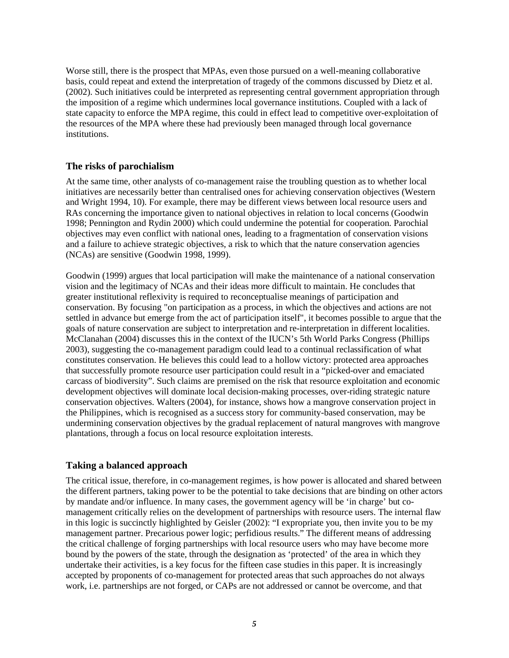Worse still, there is the prospect that MPAs, even those pursued on a well-meaning collaborative basis, could repeat and extend the interpretation of tragedy of the commons discussed by Dietz et al. (2002). Such initiatives could be interpreted as representing central government appropriation through the imposition of a regime which undermines local governance institutions. Coupled with a lack of state capacity to enforce the MPA regime, this could in effect lead to competitive over-exploitation of the resources of the MPA where these had previously been managed through local governance institutions.

## **The risks of parochialism**

At the same time, other analysts of co-management raise the troubling question as to whether local initiatives are necessarily better than centralised ones for achieving conservation objectives (Western and Wright 1994, 10). For example, there may be different views between local resource users and RAs concerning the importance given to national objectives in relation to local concerns (Goodwin 1998; Pennington and Rydin 2000) which could undermine the potential for cooperation. Parochial objectives may even conflict with national ones, leading to a fragmentation of conservation visions and a failure to achieve strategic objectives, a risk to which that the nature conservation agencies (NCAs) are sensitive (Goodwin 1998, 1999).

Goodwin (1999) argues that local participation will make the maintenance of a national conservation vision and the legitimacy of NCAs and their ideas more difficult to maintain. He concludes that greater institutional reflexivity is required to reconceptualise meanings of participation and conservation. By focusing "on participation as a process, in which the objectives and actions are not settled in advance but emerge from the act of participation itself", it becomes possible to argue that the goals of nature conservation are subject to interpretation and re-interpretation in different localities. McClanahan (2004) discusses this in the context of the IUCN's 5th World Parks Congress (Phillips 2003), suggesting the co-management paradigm could lead to a continual reclassification of what constitutes conservation. He believes this could lead to a hollow victory: protected area approaches that successfully promote resource user participation could result in a "picked-over and emaciated carcass of biodiversity". Such claims are premised on the risk that resource exploitation and economic development objectives will dominate local decision-making processes, over-riding strategic nature conservation objectives. Walters (2004), for instance, shows how a mangrove conservation project in the Philippines, which is recognised as a success story for community-based conservation, may be undermining conservation objectives by the gradual replacement of natural mangroves with mangrove plantations, through a focus on local resource exploitation interests.

## **Taking a balanced approach**

The critical issue, therefore, in co-management regimes, is how power is allocated and shared between the different partners, taking power to be the potential to take decisions that are binding on other actors by mandate and/or influence. In many cases, the government agency will be 'in charge' but comanagement critically relies on the development of partnerships with resource users. The internal flaw in this logic is succinctly highlighted by Geisler (2002): "I expropriate you, then invite you to be my management partner. Precarious power logic; perfidious results." The different means of addressing the critical challenge of forging partnerships with local resource users who may have become more bound by the powers of the state, through the designation as 'protected' of the area in which they undertake their activities, is a key focus for the fifteen case studies in this paper. It is increasingly accepted by proponents of co-management for protected areas that such approaches do not always work, i.e. partnerships are not forged, or CAPs are not addressed or cannot be overcome, and that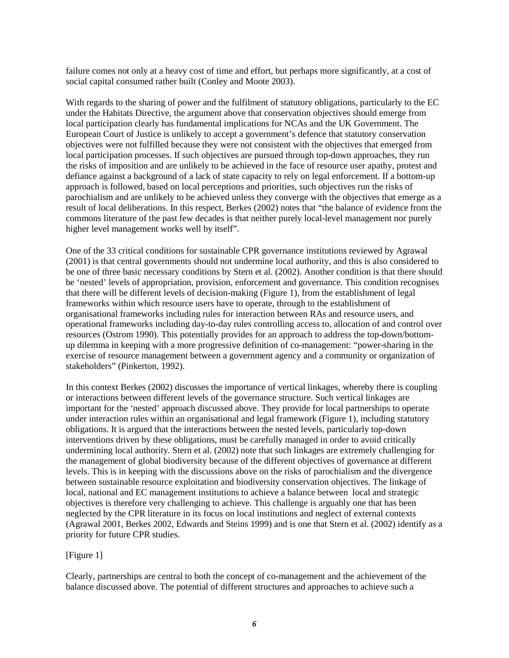failure comes not only at a heavy cost of time and effort, but perhaps more significantly, at a cost of social capital consumed rather built (Conley and Moote 2003).

With regards to the sharing of power and the fulfilment of statutory obligations, particularly to the EC under the Habitats Directive, the argument above that conservation objectives should emerge from local participation clearly has fundamental implications for NCAs and the UK Government. The European Court of Justice is unlikely to accept a government's defence that statutory conservation objectives were not fulfilled because they were not consistent with the objectives that emerged from local participation processes. If such objectives are pursued through top-down approaches, they run the risks of imposition and are unlikely to be achieved in the face of resource user apathy, protest and defiance against a background of a lack of state capacity to rely on legal enforcement. If a bottom-up approach is followed, based on local perceptions and priorities, such objectives run the risks of parochialism and are unlikely to be achieved unless they converge with the objectives that emerge as a result of local deliberations. In this respect, Berkes (2002) notes that "the balance of evidence from the commons literature of the past few decades is that neither purely local-level management nor purely higher level management works well by itself".

One of the 33 critical conditions for sustainable CPR governance institutions reviewed by Agrawal (2001) is that central governments should not undermine local authority, and this is also considered to be one of three basic necessary conditions by Stern et al. (2002). Another condition is that there should be 'nested' levels of appropriation, provision, enforcement and governance. This condition recognises that there will be different levels of decision-making (Figure 1), from the establishment of legal frameworks within which resource users have to operate, through to the establishment of organisational frameworks including rules for interaction between RAs and resource users, and operational frameworks including day-to-day rules controlling access to, allocation of and control over resources (Ostrom 1990). This potentially provides for an approach to address the top-down/bottomup dilemma in keeping with a more progressive definition of co-management: "power-sharing in the exercise of resource management between a government agency and a community or organization of stakeholders" (Pinkerton, 1992).

In this context Berkes (2002) discusses the importance of vertical linkages, whereby there is coupling or interactions between different levels of the governance structure. Such vertical linkages are important for the 'nested' approach discussed above. They provide for local partnerships to operate under interaction rules within an organisational and legal framework (Figure 1), including statutory obligations. It is argued that the interactions between the nested levels, particularly top-down interventions driven by these obligations, must be carefully managed in order to avoid critically undermining local authority. Stern et al. (2002) note that such linkages are extremely challenging for the management of global biodiversity because of the different objectives of governance at different levels. This is in keeping with the discussions above on the risks of parochialism and the divergence between sustainable resource exploitation and biodiversity conservation objectives. The linkage of local, national and EC management institutions to achieve a balance between local and strategic objectives is therefore very challenging to achieve. This challenge is arguably one that has been neglected by the CPR literature in its focus on local institutions and neglect of external contexts (Agrawal 2001, Berkes 2002, Edwards and Steins 1999) and is one that Stern et al. (2002) identify as a priority for future CPR studies.

### [Figure 1]

Clearly, partnerships are central to both the concept of co-management and the achievement of the balance discussed above. The potential of different structures and approaches to achieve such a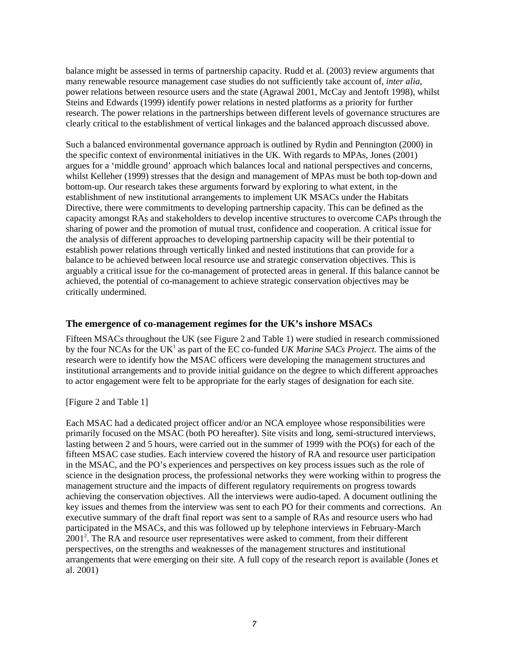balance might be assessed in terms of partnership capacity. Rudd et al. (2003) review arguments that many renewable resource management case studies do not sufficiently take account of, *inter alia*, power relations between resource users and the state (Agrawal 2001, McCay and Jentoft 1998), whilst Steins and Edwards (1999) identify power relations in nested platforms as a priority for further research. The power relations in the partnerships between different levels of governance structures are clearly critical to the establishment of vertical linkages and the balanced approach discussed above.

Such a balanced environmental governance approach is outlined by Rydin and Pennington (2000) in the specific context of environmental initiatives in the UK. With regards to MPAs, Jones (2001) argues for a 'middle ground' approach which balances local and national perspectives and concerns, whilst Kelleher (1999) stresses that the design and management of MPAs must be both top-down and bottom-up. Our research takes these arguments forward by exploring to what extent, in the establishment of new institutional arrangements to implement UK MSACs under the Habitats Directive, there were commitments to developing partnership capacity. This can be defined as the capacity amongst RAs and stakeholders to develop incentive structures to overcome CAPs through the sharing of power and the promotion of mutual trust, confidence and cooperation. A critical issue for the analysis of different approaches to developing partnership capacity will be their potential to establish power relations through vertically linked and nested institutions that can provide for a balance to be achieved between local resource use and strategic conservation objectives. This is arguably a critical issue for the co-management of protected areas in general. If this balance cannot be achieved, the potential of co-management to achieve strategic conservation objectives may be critically undermined.

## **The emergence of co-management regimes for the UK's inshore MSACs**

Fifteen MSACs throughout the UK (see Figure 2 and Table 1) were studied in research commissioned by the four NCAs for the UK<sup>1</sup> as part of the EC co-funded *UK Marine SACs Project*. The aims of the research were to identify how the MSAC officers were developing the management structures and institutional arrangements and to provide initial guidance on the degree to which different approaches to actor engagement were felt to be appropriate for the early stages of designation for each site.

### [Figure 2 and Table 1]

Each MSAC had a dedicated project officer and/or an NCA employee whose responsibilities were primarily focused on the MSAC (both PO hereafter). Site visits and long, semi-structured interviews, lasting between 2 and 5 hours, were carried out in the summer of 1999 with the PO(s) for each of the fifteen MSAC case studies. Each interview covered the history of RA and resource user participation in the MSAC, and the PO's experiences and perspectives on key process issues such as the role of science in the designation process, the professional networks they were working within to progress the management structure and the impacts of different regulatory requirements on progress towards achieving the conservation objectives. All the interviews were audio-taped. A document outlining the key issues and themes from the interview was sent to each PO for their comments and corrections. An executive summary of the draft final report was sent to a sample of RAs and resource users who had participated in the MSACs, and this was followed up by telephone interviews in February-March 2001<sup>2</sup>. The RA and resource user representatives were asked to comment, from their different perspectives, on the strengths and weaknesses of the management structures and institutional arrangements that were emerging on their site. A full copy of the research report is available (Jones et al. 2001)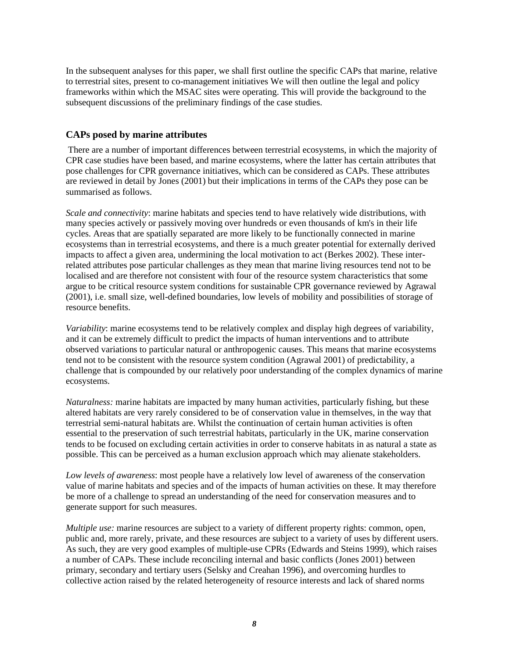In the subsequent analyses for this paper, we shall first outline the specific CAPs that marine, relative to terrestrial sites, present to co-management initiatives We will then outline the legal and policy frameworks within which the MSAC sites were operating. This will provide the background to the subsequent discussions of the preliminary findings of the case studies.

## **CAPs posed by marine attributes**

 There are a number of important differences between terrestrial ecosystems, in which the majority of CPR case studies have been based, and marine ecosystems, where the latter has certain attributes that pose challenges for CPR governance initiatives, which can be considered as CAPs. These attributes are reviewed in detail by Jones (2001) but their implications in terms of the CAPs they pose can be summarised as follows.

*Scale and connectivity*: marine habitats and species tend to have relatively wide distributions, with many species actively or passively moving over hundreds or even thousands of km's in their life cycles. Areas that are spatially separated are more likely to be functionally connected in marine ecosystems than in terrestrial ecosystems, and there is a much greater potential for externally derived impacts to affect a given area, undermining the local motivation to act (Berkes 2002). These interrelated attributes pose particular challenges as they mean that marine living resources tend not to be localised and are therefore not consistent with four of the resource system characteristics that some argue to be critical resource system conditions for sustainable CPR governance reviewed by Agrawal (2001), i.e. small size, well-defined boundaries, low levels of mobility and possibilities of storage of resource benefits.

*Variability*: marine ecosystems tend to be relatively complex and display high degrees of variability, and it can be extremely difficult to predict the impacts of human interventions and to attribute observed variations to particular natural or anthropogenic causes. This means that marine ecosystems tend not to be consistent with the resource system condition (Agrawal 2001) of predictability, a challenge that is compounded by our relatively poor understanding of the complex dynamics of marine ecosystems.

*Naturalness:* marine habitats are impacted by many human activities, particularly fishing, but these altered habitats are very rarely considered to be of conservation value in themselves, in the way that terrestrial semi-natural habitats are. Whilst the continuation of certain human activities is often essential to the preservation of such terrestrial habitats, particularly in the UK, marine conservation tends to be focused on excluding certain activities in order to conserve habitats in as natural a state as possible. This can be perceived as a human exclusion approach which may alienate stakeholders.

*Low levels of awareness*: most people have a relatively low level of awareness of the conservation value of marine habitats and species and of the impacts of human activities on these. It may therefore be more of a challenge to spread an understanding of the need for conservation measures and to generate support for such measures.

*Multiple use:* marine resources are subject to a variety of different property rights: common, open, public and, more rarely, private, and these resources are subject to a variety of uses by different users. As such, they are very good examples of multiple-use CPRs (Edwards and Steins 1999), which raises a number of CAPs. These include reconciling internal and basic conflicts (Jones 2001) between primary, secondary and tertiary users (Selsky and Creahan 1996), and overcoming hurdles to collective action raised by the related heterogeneity of resource interests and lack of shared norms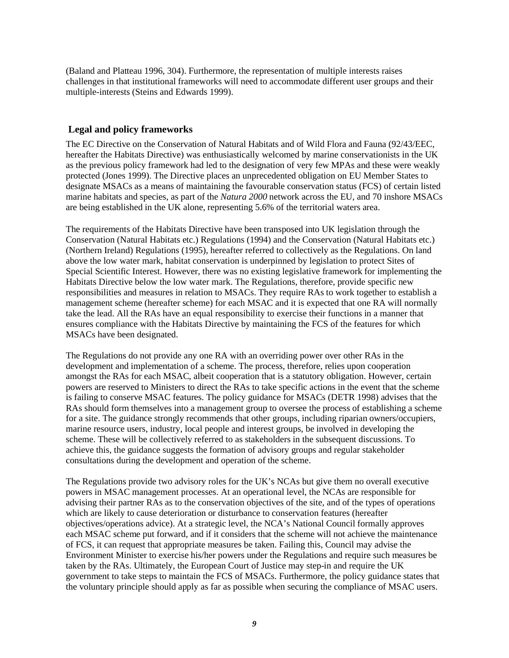(Baland and Platteau 1996, 304). Furthermore, the representation of multiple interests raises challenges in that institutional frameworks will need to accommodate different user groups and their multiple-interests (Steins and Edwards 1999).

## **Legal and policy frameworks**

The EC Directive on the Conservation of Natural Habitats and of Wild Flora and Fauna (92/43/EEC, hereafter the Habitats Directive) was enthusiastically welcomed by marine conservationists in the UK as the previous policy framework had led to the designation of very few MPAs and these were weakly protected (Jones 1999). The Directive places an unprecedented obligation on EU Member States to designate MSACs as a means of maintaining the favourable conservation status (FCS) of certain listed marine habitats and species, as part of the *Natura 2000* network across the EU, and 70 inshore MSACs are being established in the UK alone, representing 5.6% of the territorial waters area.

The requirements of the Habitats Directive have been transposed into UK legislation through the Conservation (Natural Habitats etc.) Regulations (1994) and the Conservation (Natural Habitats etc.) (Northern Ireland) Regulations (1995), hereafter referred to collectively as the Regulations. On land above the low water mark, habitat conservation is underpinned by legislation to protect Sites of Special Scientific Interest. However, there was no existing legislative framework for implementing the Habitats Directive below the low water mark. The Regulations, therefore, provide specific new responsibilities and measures in relation to MSACs. They require RAs to work together to establish a management scheme (hereafter scheme) for each MSAC and it is expected that one RA will normally take the lead. All the RAs have an equal responsibility to exercise their functions in a manner that ensures compliance with the Habitats Directive by maintaining the FCS of the features for which MSACs have been designated.

The Regulations do not provide any one RA with an overriding power over other RAs in the development and implementation of a scheme. The process, therefore, relies upon cooperation amongst the RAs for each MSAC, albeit cooperation that is a statutory obligation. However, certain powers are reserved to Ministers to direct the RAs to take specific actions in the event that the scheme is failing to conserve MSAC features. The policy guidance for MSACs (DETR 1998) advises that the RAs should form themselves into a management group to oversee the process of establishing a scheme for a site. The guidance strongly recommends that other groups, including riparian owners/occupiers, marine resource users, industry, local people and interest groups, be involved in developing the scheme. These will be collectively referred to as stakeholders in the subsequent discussions. To achieve this, the guidance suggests the formation of advisory groups and regular stakeholder consultations during the development and operation of the scheme.

The Regulations provide two advisory roles for the UK's NCAs but give them no overall executive powers in MSAC management processes. At an operational level, the NCAs are responsible for advising their partner RAs as to the conservation objectives of the site, and of the types of operations which are likely to cause deterioration or disturbance to conservation features (hereafter objectives/operations advice). At a strategic level, the NCA's National Council formally approves each MSAC scheme put forward, and if it considers that the scheme will not achieve the maintenance of FCS, it can request that appropriate measures be taken. Failing this, Council may advise the Environment Minister to exercise his/her powers under the Regulations and require such measures be taken by the RAs. Ultimately, the European Court of Justice may step-in and require the UK government to take steps to maintain the FCS of MSACs. Furthermore, the policy guidance states that the voluntary principle should apply as far as possible when securing the compliance of MSAC users.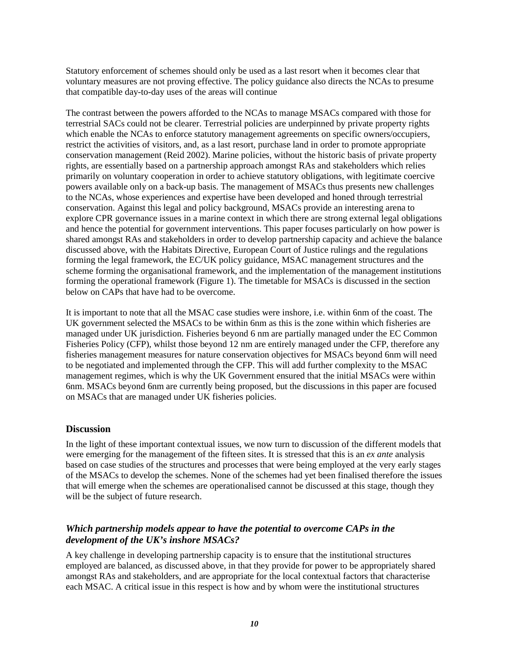Statutory enforcement of schemes should only be used as a last resort when it becomes clear that voluntary measures are not proving effective. The policy guidance also directs the NCAs to presume that compatible day-to-day uses of the areas will continue

The contrast between the powers afforded to the NCAs to manage MSACs compared with those for terrestrial SACs could not be clearer. Terrestrial policies are underpinned by private property rights which enable the NCAs to enforce statutory management agreements on specific owners/occupiers, restrict the activities of visitors, and, as a last resort, purchase land in order to promote appropriate conservation management (Reid 2002). Marine policies, without the historic basis of private property rights, are essentially based on a partnership approach amongst RAs and stakeholders which relies primarily on voluntary cooperation in order to achieve statutory obligations, with legitimate coercive powers available only on a back-up basis. The management of MSACs thus presents new challenges to the NCAs, whose experiences and expertise have been developed and honed through terrestrial conservation. Against this legal and policy background, MSACs provide an interesting arena to explore CPR governance issues in a marine context in which there are strong external legal obligations and hence the potential for government interventions. This paper focuses particularly on how power is shared amongst RAs and stakeholders in order to develop partnership capacity and achieve the balance discussed above, with the Habitats Directive, European Court of Justice rulings and the regulations forming the legal framework, the EC/UK policy guidance, MSAC management structures and the scheme forming the organisational framework, and the implementation of the management institutions forming the operational framework (Figure 1). The timetable for MSACs is discussed in the section below on CAPs that have had to be overcome.

It is important to note that all the MSAC case studies were inshore, i.e. within 6nm of the coast. The UK government selected the MSACs to be within 6nm as this is the zone within which fisheries are managed under UK jurisdiction. Fisheries beyond 6 nm are partially managed under the EC Common Fisheries Policy (CFP), whilst those beyond 12 nm are entirely managed under the CFP, therefore any fisheries management measures for nature conservation objectives for MSACs beyond 6nm will need to be negotiated and implemented through the CFP. This will add further complexity to the MSAC management regimes, which is why the UK Government ensured that the initial MSACs were within 6nm. MSACs beyond 6nm are currently being proposed, but the discussions in this paper are focused on MSACs that are managed under UK fisheries policies.

### **Discussion**

In the light of these important contextual issues, we now turn to discussion of the different models that were emerging for the management of the fifteen sites. It is stressed that this is an *ex ante* analysis based on case studies of the structures and processes that were being employed at the very early stages of the MSACs to develop the schemes. None of the schemes had yet been finalised therefore the issues that will emerge when the schemes are operationalised cannot be discussed at this stage, though they will be the subject of future research.

# *Which partnership models appear to have the potential to overcome CAPs in the development of the UK's inshore MSACs?*

A key challenge in developing partnership capacity is to ensure that the institutional structures employed are balanced, as discussed above, in that they provide for power to be appropriately shared amongst RAs and stakeholders, and are appropriate for the local contextual factors that characterise each MSAC. A critical issue in this respect is how and by whom were the institutional structures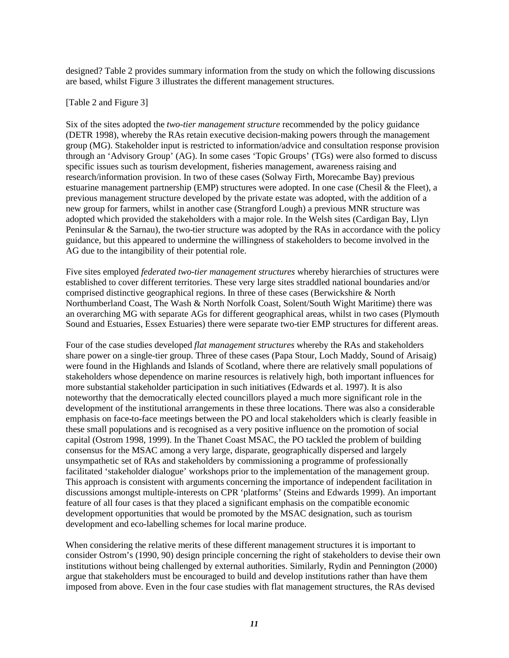designed? Table 2 provides summary information from the study on which the following discussions are based, whilst Figure 3 illustrates the different management structures.

#### [Table 2 and Figure 3]

Six of the sites adopted the *two-tier management structure* recommended by the policy guidance (DETR 1998), whereby the RAs retain executive decision-making powers through the management group (MG). Stakeholder input is restricted to information/advice and consultation response provision through an 'Advisory Group' (AG). In some cases 'Topic Groups' (TGs) were also formed to discuss specific issues such as tourism development, fisheries management, awareness raising and research/information provision. In two of these cases (Solway Firth, Morecambe Bay) previous estuarine management partnership (EMP) structures were adopted. In one case (Chesil & the Fleet), a previous management structure developed by the private estate was adopted, with the addition of a new group for farmers, whilst in another case (Strangford Lough) a previous MNR structure was adopted which provided the stakeholders with a major role. In the Welsh sites (Cardigan Bay, Llyn Peninsular & the Sarnau), the two-tier structure was adopted by the RAs in accordance with the policy guidance, but this appeared to undermine the willingness of stakeholders to become involved in the AG due to the intangibility of their potential role.

Five sites employed *federated two-tier management structures* whereby hierarchies of structures were established to cover different territories. These very large sites straddled national boundaries and/or comprised distinctive geographical regions. In three of these cases (Berwickshire & North Northumberland Coast, The Wash & North Norfolk Coast, Solent/South Wight Maritime) there was an overarching MG with separate AGs for different geographical areas, whilst in two cases (Plymouth Sound and Estuaries, Essex Estuaries) there were separate two-tier EMP structures for different areas.

Four of the case studies developed *flat management structures* whereby the RAs and stakeholders share power on a single-tier group. Three of these cases (Papa Stour, Loch Maddy, Sound of Arisaig) were found in the Highlands and Islands of Scotland, where there are relatively small populations of stakeholders whose dependence on marine resources is relatively high, both important influences for more substantial stakeholder participation in such initiatives (Edwards et al. 1997). It is also noteworthy that the democratically elected councillors played a much more significant role in the development of the institutional arrangements in these three locations. There was also a considerable emphasis on face-to-face meetings between the PO and local stakeholders which is clearly feasible in these small populations and is recognised as a very positive influence on the promotion of social capital (Ostrom 1998, 1999). In the Thanet Coast MSAC, the PO tackled the problem of building consensus for the MSAC among a very large, disparate, geographically dispersed and largely unsympathetic set of RAs and stakeholders by commissioning a programme of professionally facilitated 'stakeholder dialogue' workshops prior to the implementation of the management group. This approach is consistent with arguments concerning the importance of independent facilitation in discussions amongst multiple-interests on CPR 'platforms' (Steins and Edwards 1999). An important feature of all four cases is that they placed a significant emphasis on the compatible economic development opportunities that would be promoted by the MSAC designation, such as tourism development and eco-labelling schemes for local marine produce.

When considering the relative merits of these different management structures it is important to consider Ostrom's (1990, 90) design principle concerning the right of stakeholders to devise their own institutions without being challenged by external authorities. Similarly, Rydin and Pennington (2000) argue that stakeholders must be encouraged to build and develop institutions rather than have them imposed from above. Even in the four case studies with flat management structures, the RAs devised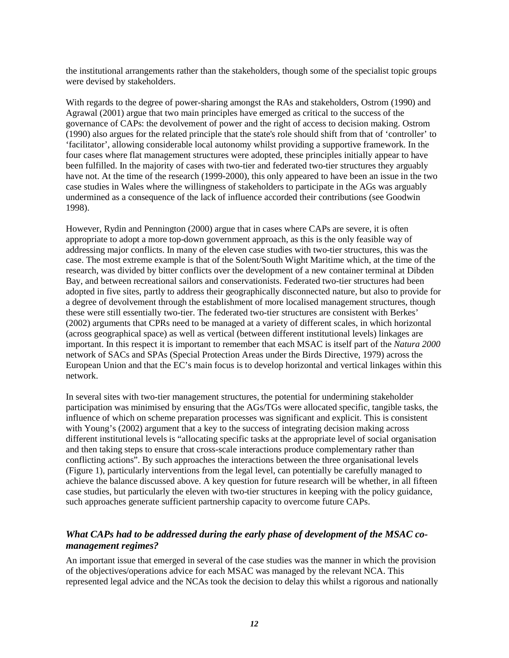the institutional arrangements rather than the stakeholders, though some of the specialist topic groups were devised by stakeholders.

With regards to the degree of power-sharing amongst the RAs and stakeholders, Ostrom (1990) and Agrawal (2001) argue that two main principles have emerged as critical to the success of the governance of CAPs: the devolvement of power and the right of access to decision making. Ostrom (1990) also argues for the related principle that the state's role should shift from that of 'controller' to 'facilitator', allowing considerable local autonomy whilst providing a supportive framework. In the four cases where flat management structures were adopted, these principles initially appear to have been fulfilled. In the majority of cases with two-tier and federated two-tier structures they arguably have not. At the time of the research (1999-2000), this only appeared to have been an issue in the two case studies in Wales where the willingness of stakeholders to participate in the AGs was arguably undermined as a consequence of the lack of influence accorded their contributions (see Goodwin 1998).

However, Rydin and Pennington (2000) argue that in cases where CAPs are severe, it is often appropriate to adopt a more top-down government approach, as this is the only feasible way of addressing major conflicts. In many of the eleven case studies with two-tier structures, this was the case. The most extreme example is that of the Solent/South Wight Maritime which, at the time of the research, was divided by bitter conflicts over the development of a new container terminal at Dibden Bay, and between recreational sailors and conservationists. Federated two-tier structures had been adopted in five sites, partly to address their geographically disconnected nature, but also to provide for a degree of devolvement through the establishment of more localised management structures, though these were still essentially two-tier. The federated two-tier structures are consistent with Berkes' (2002) arguments that CPRs need to be managed at a variety of different scales, in which horizontal (across geographical space) as well as vertical (between different institutional levels) linkages are important. In this respect it is important to remember that each MSAC is itself part of the *Natura 2000* network of SACs and SPAs (Special Protection Areas under the Birds Directive, 1979) across the European Union and that the EC's main focus is to develop horizontal and vertical linkages within this network.

In several sites with two-tier management structures, the potential for undermining stakeholder participation was minimised by ensuring that the AGs/TGs were allocated specific, tangible tasks, the influence of which on scheme preparation processes was significant and explicit. This is consistent with Young's (2002) argument that a key to the success of integrating decision making across different institutional levels is "allocating specific tasks at the appropriate level of social organisation and then taking steps to ensure that cross-scale interactions produce complementary rather than conflicting actions". By such approaches the interactions between the three organisational levels (Figure 1), particularly interventions from the legal level, can potentially be carefully managed to achieve the balance discussed above. A key question for future research will be whether, in all fifteen case studies, but particularly the eleven with two-tier structures in keeping with the policy guidance, such approaches generate sufficient partnership capacity to overcome future CAPs.

# *What CAPs had to be addressed during the early phase of development of the MSAC comanagement regimes?*

An important issue that emerged in several of the case studies was the manner in which the provision of the objectives/operations advice for each MSAC was managed by the relevant NCA. This represented legal advice and the NCAs took the decision to delay this whilst a rigorous and nationally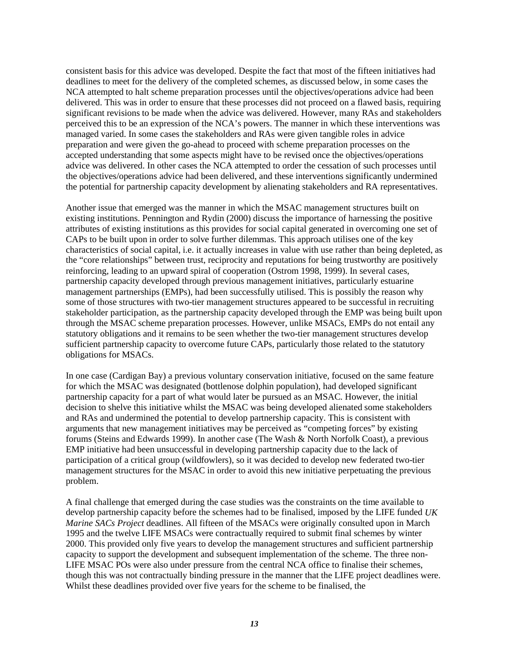consistent basis for this advice was developed. Despite the fact that most of the fifteen initiatives had deadlines to meet for the delivery of the completed schemes, as discussed below, in some cases the NCA attempted to halt scheme preparation processes until the objectives/operations advice had been delivered. This was in order to ensure that these processes did not proceed on a flawed basis, requiring significant revisions to be made when the advice was delivered. However, many RAs and stakeholders perceived this to be an expression of the NCA's powers. The manner in which these interventions was managed varied. In some cases the stakeholders and RAs were given tangible roles in advice preparation and were given the go-ahead to proceed with scheme preparation processes on the accepted understanding that some aspects might have to be revised once the objectives/operations advice was delivered. In other cases the NCA attempted to order the cessation of such processes until the objectives/operations advice had been delivered, and these interventions significantly undermined the potential for partnership capacity development by alienating stakeholders and RA representatives.

Another issue that emerged was the manner in which the MSAC management structures built on existing institutions. Pennington and Rydin (2000) discuss the importance of harnessing the positive attributes of existing institutions as this provides for social capital generated in overcoming one set of CAPs to be built upon in order to solve further dilemmas. This approach utilises one of the key characteristics of social capital, i.e. it actually increases in value with use rather than being depleted, as the "core relationships" between trust, reciprocity and reputations for being trustworthy are positively reinforcing, leading to an upward spiral of cooperation (Ostrom 1998, 1999). In several cases, partnership capacity developed through previous management initiatives, particularly estuarine management partnerships (EMPs), had been successfully utilised. This is possibly the reason why some of those structures with two-tier management structures appeared to be successful in recruiting stakeholder participation, as the partnership capacity developed through the EMP was being built upon through the MSAC scheme preparation processes. However, unlike MSACs, EMPs do not entail any statutory obligations and it remains to be seen whether the two-tier management structures develop sufficient partnership capacity to overcome future CAPs, particularly those related to the statutory obligations for MSACs.

In one case (Cardigan Bay) a previous voluntary conservation initiative, focused on the same feature for which the MSAC was designated (bottlenose dolphin population), had developed significant partnership capacity for a part of what would later be pursued as an MSAC. However, the initial decision to shelve this initiative whilst the MSAC was being developed alienated some stakeholders and RAs and undermined the potential to develop partnership capacity. This is consistent with arguments that new management initiatives may be perceived as "competing forces" by existing forums (Steins and Edwards 1999). In another case (The Wash & North Norfolk Coast), a previous EMP initiative had been unsuccessful in developing partnership capacity due to the lack of participation of a critical group (wildfowlers), so it was decided to develop new federated two-tier management structures for the MSAC in order to avoid this new initiative perpetuating the previous problem.

A final challenge that emerged during the case studies was the constraints on the time available to develop partnership capacity before the schemes had to be finalised, imposed by the LIFE funded *UK Marine SACs Project* deadlines. All fifteen of the MSACs were originally consulted upon in March 1995 and the twelve LIFE MSACs were contractually required to submit final schemes by winter 2000. This provided only five years to develop the management structures and sufficient partnership capacity to support the development and subsequent implementation of the scheme. The three non-LIFE MSAC POs were also under pressure from the central NCA office to finalise their schemes, though this was not contractually binding pressure in the manner that the LIFE project deadlines were. Whilst these deadlines provided over five years for the scheme to be finalised, the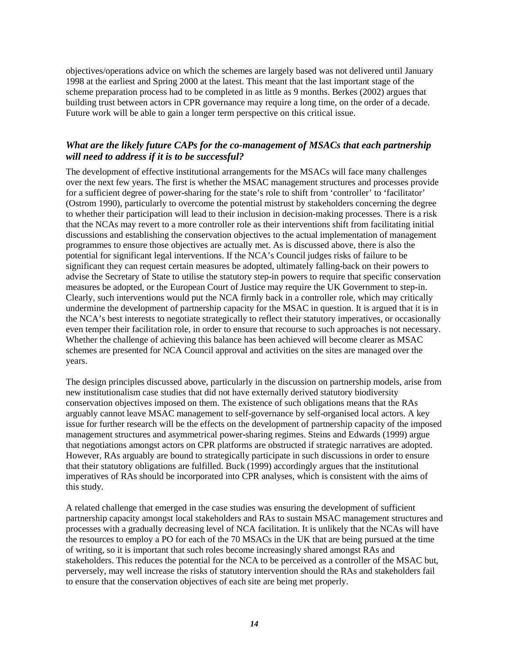objectives/operations advice on which the schemes are largely based was not delivered until January 1998 at the earliest and Spring 2000 at the latest. This meant that the last important stage of the scheme preparation process had to be completed in as little as 9 months. Berkes (2002) argues that building trust between actors in CPR governance may require a long time, on the order of a decade. Future work will be able to gain a longer term perspective on this critical issue.

# *What are the likely future CAPs for the co-management of MSACs that each partnership will need to address if it is to be successful?*

The development of effective institutional arrangements for the MSACs will face many challenges over the next few years. The first is whether the MSAC management structures and processes provide for a sufficient degree of power-sharing for the state's role to shift from 'controller' to 'facilitator' (Ostrom 1990), particularly to overcome the potential mistrust by stakeholders concerning the degree to whether their participation will lead to their inclusion in decision-making processes. There is a risk that the NCAs may revert to a more controller role as their interventions shift from facilitating initial discussions and establishing the conservation objectives to the actual implementation of management programmes to ensure those objectives are actually met. As is discussed above, there is also the potential for significant legal interventions. If the NCA's Council judges risks of failure to be significant they can request certain measures be adopted, ultimately falling-back on their powers to advise the Secretary of State to utilise the statutory step-in powers to require that specific conservation measures be adopted, or the European Court of Justice may require the UK Government to step-in. Clearly, such interventions would put the NCA firmly back in a controller role, which may critically undermine the development of partnership capacity for the MSAC in question. It is argued that it is in the NCA's best interests to negotiate strategically to reflect their statutory imperatives, or occasionally even temper their facilitation role, in order to ensure that recourse to such approaches is not necessary. Whether the challenge of achieving this balance has been achieved will become clearer as MSAC schemes are presented for NCA Council approval and activities on the sites are managed over the years.

The design principles discussed above, particularly in the discussion on partnership models, arise from new institutionalism case studies that did not have externally derived statutory biodiversity conservation objectives imposed on them. The existence of such obligations means that the RAs arguably cannot leave MSAC management to self-governance by self-organised local actors. A key issue for further research will be the effects on the development of partnership capacity of the imposed management structures and asymmetrical power-sharing regimes. Steins and Edwards (1999) argue that negotiations amongst actors on CPR platforms are obstructed if strategic narratives are adopted. However, RAs arguably are bound to strategically participate in such discussions in order to ensure that their statutory obligations are fulfilled. Buck (1999) accordingly argues that the institutional imperatives of RAs should be incorporated into CPR analyses, which is consistent with the aims of this study.

A related challenge that emerged in the case studies was ensuring the development of sufficient partnership capacity amongst local stakeholders and RAs to sustain MSAC management structures and processes with a gradually decreasing level of NCA facilitation. It is unlikely that the NCAs will have the resources to employ a PO for each of the 70 MSACs in the UK that are being pursued at the time of writing, so it is important that such roles become increasingly shared amongst RAs and stakeholders. This reduces the potential for the NCA to be perceived as a controller of the MSAC but, perversely, may well increase the risks of statutory intervention should the RAs and stakeholders fail to ensure that the conservation objectives of each site are being met properly.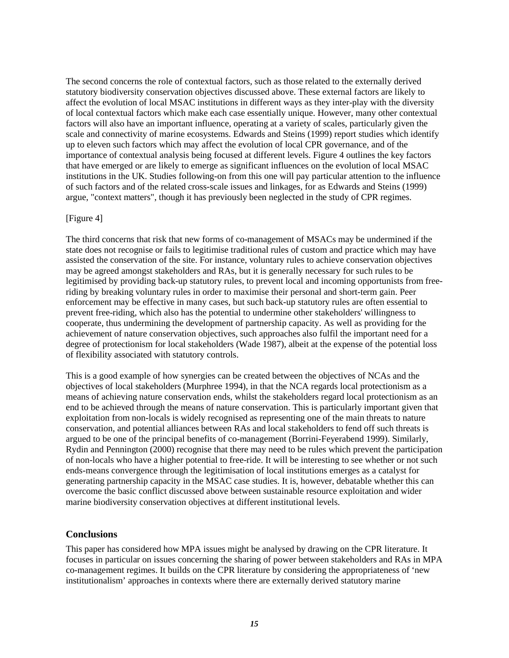The second concerns the role of contextual factors, such as those related to the externally derived statutory biodiversity conservation objectives discussed above. These external factors are likely to affect the evolution of local MSAC institutions in different ways as they inter-play with the diversity of local contextual factors which make each case essentially unique. However, many other contextual factors will also have an important influence, operating at a variety of scales, particularly given the scale and connectivity of marine ecosystems. Edwards and Steins (1999) report studies which identify up to eleven such factors which may affect the evolution of local CPR governance, and of the importance of contextual analysis being focused at different levels. Figure 4 outlines the key factors that have emerged or are likely to emerge as significant influences on the evolution of local MSAC institutions in the UK. Studies following-on from this one will pay particular attention to the influence of such factors and of the related cross-scale issues and linkages, for as Edwards and Steins (1999) argue, "context matters", though it has previously been neglected in the study of CPR regimes.

#### [Figure 4]

The third concerns that risk that new forms of co-management of MSACs may be undermined if the state does not recognise or fails to legitimise traditional rules of custom and practice which may have assisted the conservation of the site. For instance, voluntary rules to achieve conservation objectives may be agreed amongst stakeholders and RAs, but it is generally necessary for such rules to be legitimised by providing back-up statutory rules, to prevent local and incoming opportunists from freeriding by breaking voluntary rules in order to maximise their personal and short-term gain. Peer enforcement may be effective in many cases, but such back-up statutory rules are often essential to prevent free-riding, which also has the potential to undermine other stakeholders' willingness to cooperate, thus undermining the development of partnership capacity. As well as providing for the achievement of nature conservation objectives, such approaches also fulfil the important need for a degree of protectionism for local stakeholders (Wade 1987), albeit at the expense of the potential loss of flexibility associated with statutory controls.

This is a good example of how synergies can be created between the objectives of NCAs and the objectives of local stakeholders (Murphree 1994), in that the NCA regards local protectionism as a means of achieving nature conservation ends, whilst the stakeholders regard local protectionism as an end to be achieved through the means of nature conservation. This is particularly important given that exploitation from non-locals is widely recognised as representing one of the main threats to nature conservation, and potential alliances between RAs and local stakeholders to fend off such threats is argued to be one of the principal benefits of co-management (Borrini-Feyerabend 1999). Similarly, Rydin and Pennington (2000) recognise that there may need to be rules which prevent the participation of non-locals who have a higher potential to free-ride. It will be interesting to see whether or not such ends-means convergence through the legitimisation of local institutions emerges as a catalyst for generating partnership capacity in the MSAC case studies. It is, however, debatable whether this can overcome the basic conflict discussed above between sustainable resource exploitation and wider marine biodiversity conservation objectives at different institutional levels.

### **Conclusions**

This paper has considered how MPA issues might be analysed by drawing on the CPR literature. It focuses in particular on issues concerning the sharing of power between stakeholders and RAs in MPA co-management regimes. It builds on the CPR literature by considering the appropriateness of 'new institutionalism' approaches in contexts where there are externally derived statutory marine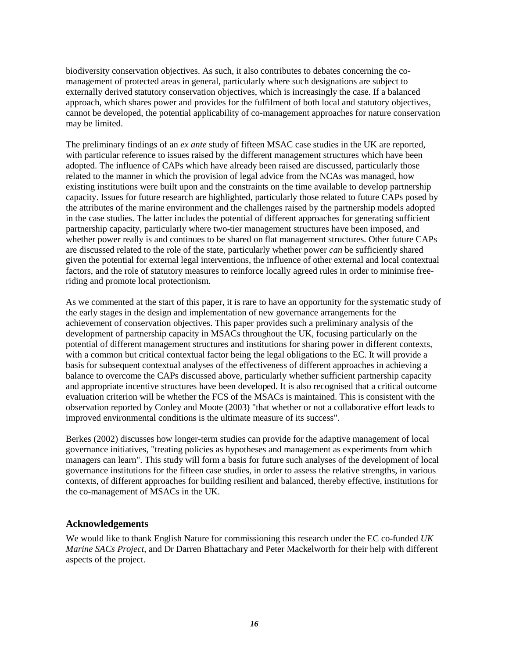biodiversity conservation objectives. As such, it also contributes to debates concerning the comanagement of protected areas in general, particularly where such designations are subject to externally derived statutory conservation objectives, which is increasingly the case. If a balanced approach, which shares power and provides for the fulfilment of both local and statutory objectives, cannot be developed, the potential applicability of co-management approaches for nature conservation may be limited.

The preliminary findings of an *ex ante* study of fifteen MSAC case studies in the UK are reported, with particular reference to issues raised by the different management structures which have been adopted. The influence of CAPs which have already been raised are discussed, particularly those related to the manner in which the provision of legal advice from the NCAs was managed, how existing institutions were built upon and the constraints on the time available to develop partnership capacity. Issues for future research are highlighted, particularly those related to future CAPs posed by the attributes of the marine environment and the challenges raised by the partnership models adopted in the case studies. The latter includes the potential of different approaches for generating sufficient partnership capacity, particularly where two-tier management structures have been imposed, and whether power really is and continues to be shared on flat management structures. Other future CAPs are discussed related to the role of the state, particularly whether power *can* be sufficiently shared given the potential for external legal interventions, the influence of other external and local contextual factors, and the role of statutory measures to reinforce locally agreed rules in order to minimise freeriding and promote local protectionism.

As we commented at the start of this paper, it is rare to have an opportunity for the systematic study of the early stages in the design and implementation of new governance arrangements for the achievement of conservation objectives. This paper provides such a preliminary analysis of the development of partnership capacity in MSACs throughout the UK, focusing particularly on the potential of different management structures and institutions for sharing power in different contexts, with a common but critical contextual factor being the legal obligations to the EC. It will provide a basis for subsequent contextual analyses of the effectiveness of different approaches in achieving a balance to overcome the CAPs discussed above, particularly whether sufficient partnership capacity and appropriate incentive structures have been developed. It is also recognised that a critical outcome evaluation criterion will be whether the FCS of the MSACs is maintained. This is consistent with the observation reported by Conley and Moote (2003) "that whether or not a collaborative effort leads to improved environmental conditions is the ultimate measure of its success".

Berkes (2002) discusses how longer-term studies can provide for the adaptive management of local governance initiatives, "treating policies as hypotheses and management as experiments from which managers can learn". This study will form a basis for future such analyses of the development of local governance institutions for the fifteen case studies, in order to assess the relative strengths, in various contexts, of different approaches for building resilient and balanced, thereby effective, institutions for the co-management of MSACs in the UK.

## **Acknowledgements**

We would like to thank English Nature for commissioning this research under the EC co-funded *UK Marine SACs Project*, and Dr Darren Bhattachary and Peter Mackelworth for their help with different aspects of the project.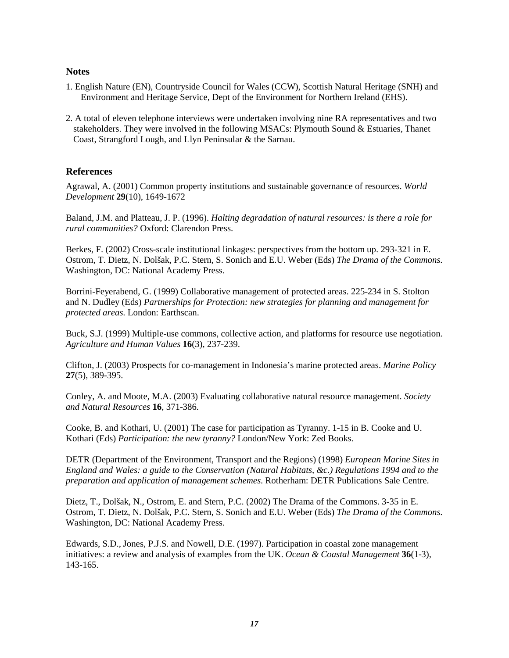### **Notes**

- 1. English Nature (EN), Countryside Council for Wales (CCW), Scottish Natural Heritage (SNH) and Environment and Heritage Service, Dept of the Environment for Northern Ireland (EHS).
- 2. A total of eleven telephone interviews were undertaken involving nine RA representatives and two stakeholders. They were involved in the following MSACs: Plymouth Sound & Estuaries, Thanet Coast, Strangford Lough, and Llyn Peninsular & the Sarnau.

### **References**

Agrawal, A. (2001) Common property institutions and sustainable governance of resources. *World Development* **29**(10), 1649-1672

Baland, J.M. and Platteau, J. P. (1996). *Halting degradation of natural resources: is there a role for rural communities?* Oxford: Clarendon Press.

Berkes, F. (2002) Cross-scale institutional linkages: perspectives from the bottom up. 293-321 in E. Ostrom, T. Dietz, N. Dolšak, P.C. Stern, S. Sonich and E.U. Weber (Eds) *The Drama of the Commons*. Washington, DC: National Academy Press.

Borrini-Feyerabend, G. (1999) Collaborative management of protected areas. 225-234 in S. Stolton and N. Dudley (Eds) *Partnerships for Protection: new strategies for planning and management for protected areas*. London: Earthscan.

Buck, S.J. (1999) Multiple-use commons, collective action, and platforms for resource use negotiation. *Agriculture and Human Values* **16**(3), 237-239.

Clifton, J. (2003) Prospects for co-management in Indonesia's marine protected areas. *Marine Policy* **27**(5), 389-395.

Conley, A. and Moote, M.A. (2003) Evaluating collaborative natural resource management. *Society and Natural Resources* **16**, 371-386.

Cooke, B. and Kothari, U. (2001) The case for participation as Tyranny. 1-15 in B. Cooke and U. Kothari (Eds) *Participation: the new tyranny?* London/New York: Zed Books.

DETR (Department of the Environment, Transport and the Regions) (1998) *European Marine Sites in England and Wales: a guide to the Conservation (Natural Habitats, &c.) Regulations 1994 and to the preparation and application of management schemes*. Rotherham: DETR Publications Sale Centre.

Dietz, T., Dolšak, N., Ostrom, E. and Stern, P.C. (2002) The Drama of the Commons. 3-35 in E. Ostrom, T. Dietz, N. Dolšak, P.C. Stern, S. Sonich and E.U. Weber (Eds) *The Drama of the Commons*. Washington, DC: National Academy Press.

Edwards, S.D., Jones, P.J.S. and Nowell, D.E. (1997). Participation in coastal zone management initiatives: a review and analysis of examples from the UK. *Ocean & Coastal Management* **36**(1-3), 143-165.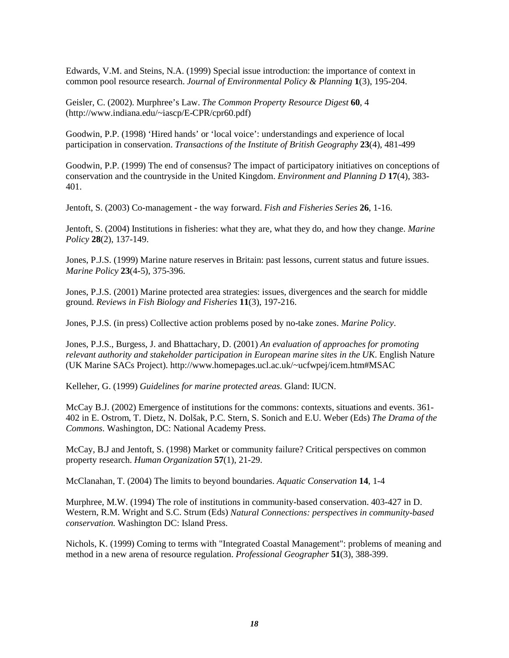Edwards, V.M. and Steins, N.A. (1999) Special issue introduction: the importance of context in common pool resource research. *Journal of Environmental Policy & Planning* **1**(3), 195-204.

Geisler, C. (2002). Murphree's Law. *The Common Property Resource Digest* **60**, 4 (http://www.indiana.edu/~iascp/E-CPR/cpr60.pdf)

Goodwin, P.P. (1998) 'Hired hands' or 'local voice': understandings and experience of local participation in conservation. *Transactions of the Institute of British Geography* **23**(4), 481-499

Goodwin, P.P. (1999) The end of consensus? The impact of participatory initiatives on conceptions of conservation and the countryside in the United Kingdom. *Environment and Planning D* **17**(4), 383- 401.

Jentoft, S. (2003) Co-management - the way forward. *Fish and Fisheries Series* **26**, 1-16.

Jentoft, S. (2004) Institutions in fisheries: what they are, what they do, and how they change. *Marine Policy* **28**(2), 137-149.

Jones, P.J.S. (1999) Marine nature reserves in Britain: past lessons, current status and future issues. *Marine Policy* **23**(4-5), 375-396.

Jones, P.J.S. (2001) Marine protected area strategies: issues, divergences and the search for middle ground. *Reviews in Fish Biology and Fisheries* **11**(3), 197-216.

Jones, P.J.S. (in press) Collective action problems posed by no-take zones. *Marine Policy*.

Jones, P.J.S., Burgess, J. and Bhattachary, D. (2001) *An evaluation of approaches for promoting relevant authority and stakeholder participation in European marine sites in the UK*. English Nature (UK Marine SACs Project). http://www.homepages.ucl.ac.uk/~ucfwpej/icem.htm#MSAC

Kelleher, G. (1999) *Guidelines for marine protected areas*. Gland: IUCN.

McCay B.J. (2002) Emergence of institutions for the commons: contexts, situations and events. 361- 402 in E. Ostrom, T. Dietz, N. Dolšak, P.C. Stern, S. Sonich and E.U. Weber (Eds) *The Drama of the Commons*. Washington, DC: National Academy Press.

McCay, B.J and Jentoft, S. (1998) Market or community failure? Critical perspectives on common property research. *Human Organization* **57**(1), 21-29.

McClanahan, T. (2004) The limits to beyond boundaries. *Aquatic Conservation* **14**, 1-4

Murphree, M.W. (1994) The role of institutions in community-based conservation. 403-427 in D. Western, R.M. Wright and S.C. Strum (Eds) *Natural Connections: perspectives in community-based conservation*. Washington DC: Island Press.

Nichols, K. (1999) Coming to terms with "Integrated Coastal Management": problems of meaning and method in a new arena of resource regulation. *Professional Geographer* **51**(3), 388-399.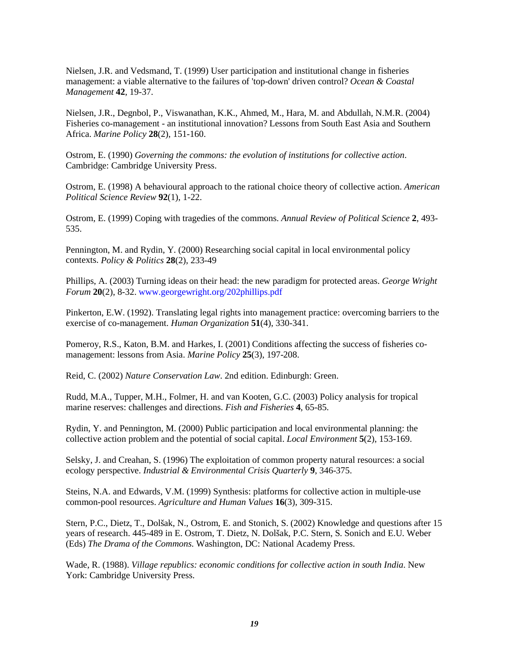Nielsen, J.R. and Vedsmand, T. (1999) User participation and institutional change in fisheries management: a viable alternative to the failures of 'top-down' driven control? *Ocean & Coastal Management* **42**, 19-37.

Nielsen, J.R., Degnbol, P., Viswanathan, K.K., Ahmed, M., Hara, M. and Abdullah, N.M.R. (2004) Fisheries co-management - an institutional innovation? Lessons from South East Asia and Southern Africa. *Marine Policy* **28**(2), 151-160.

Ostrom, E. (1990) *Governing the commons: the evolution of institutions for collective action*. Cambridge: Cambridge University Press.

Ostrom, E. (1998) A behavioural approach to the rational choice theory of collective action. *American Political Science Review* **92**(1), 1-22.

Ostrom, E. (1999) Coping with tragedies of the commons. *Annual Review of Political Science* **2**, 493- 535.

Pennington, M. and Rydin, Y. (2000) Researching social capital in local environmental policy contexts. *Policy & Politics* **28**(2), 233-49

Phillips, A. (2003) Turning ideas on their head: the new paradigm for protected areas. *George Wright Forum* **20**(2), 8-32. www.georgewright.org/202phillips.pdf

Pinkerton, E.W. (1992). Translating legal rights into management practice: overcoming barriers to the exercise of co-management. *Human Organization* **51**(4), 330-341.

Pomeroy, R.S., Katon, B.M. and Harkes, I. (2001) Conditions affecting the success of fisheries comanagement: lessons from Asia. *Marine Policy* **25**(3), 197-208.

Reid, C. (2002) *Nature Conservation Law*. 2nd edition. Edinburgh: Green.

Rudd, M.A., Tupper, M.H., Folmer, H. and van Kooten, G.C. (2003) Policy analysis for tropical marine reserves: challenges and directions. *Fish and Fisheries* **4**, 65-85.

Rydin, Y. and Pennington, M. (2000) Public participation and local environmental planning: the collective action problem and the potential of social capital. *Local Environment* **5**(2), 153-169.

Selsky, J. and Creahan, S. (1996) The exploitation of common property natural resources: a social ecology perspective. *Industrial & Environmental Crisis Quarterly* **9**, 346-375.

Steins, N.A. and Edwards, V.M. (1999) Synthesis: platforms for collective action in multiple-use common-pool resources. *Agriculture and Human Values* **16**(3), 309-315.

Stern, P.C., Dietz, T., Dolšak, N., Ostrom, E. and Stonich, S. (2002) Knowledge and questions after 15 years of research. 445-489 in E. Ostrom, T. Dietz, N. Dolšak, P.C. Stern, S. Sonich and E.U. Weber (Eds) *The Drama of the Commons*. Washington, DC: National Academy Press.

Wade, R. (1988). *Village republics: economic conditions for collective action in south India*. New York: Cambridge University Press.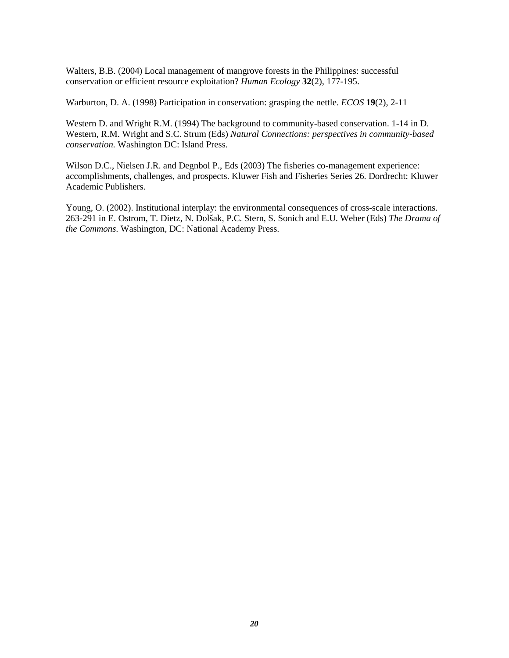Walters, B.B. (2004) Local management of mangrove forests in the Philippines: successful conservation or efficient resource exploitation? *Human Ecology* **32**(2), 177-195.

Warburton, D. A. (1998) Participation in conservation: grasping the nettle. *ECOS* **19**(2), 2-11

Western D. and Wright R.M. (1994) The background to community-based conservation. 1-14 in D. Western, R.M. Wright and S.C. Strum (Eds) *Natural Connections: perspectives in community-based conservation*. Washington DC: Island Press.

Wilson D.C., Nielsen J.R. and Degnbol P., Eds (2003) The fisheries co-management experience: accomplishments, challenges, and prospects. Kluwer Fish and Fisheries Series 26. Dordrecht: Kluwer Academic Publishers.

Young, O. (2002). Institutional interplay: the environmental consequences of cross-scale interactions. 263-291 in E. Ostrom, T. Dietz, N. Dolšak, P.C. Stern, S. Sonich and E.U. Weber (Eds) *The Drama of the Commons*. Washington, DC: National Academy Press.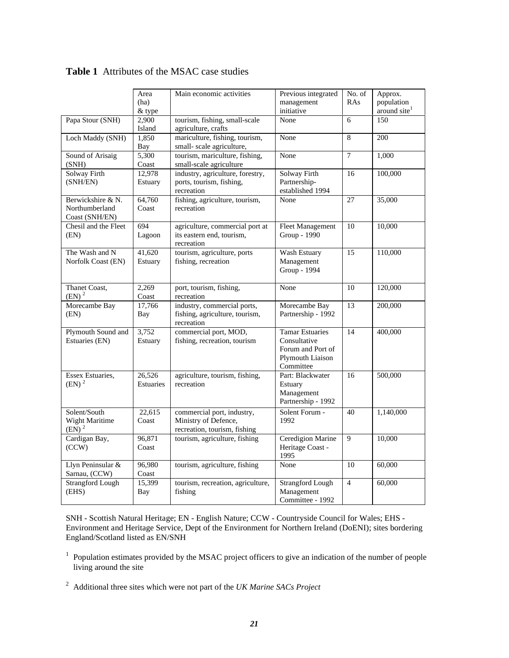|                                                       | Area<br>(ha)<br>& type     | Main economic activities                                                           | Previous integrated<br>management<br>initiative                                              | No. of<br>RAs  | Approx.<br>population<br>around site <sup>1</sup> |
|-------------------------------------------------------|----------------------------|------------------------------------------------------------------------------------|----------------------------------------------------------------------------------------------|----------------|---------------------------------------------------|
| Papa Stour (SNH)                                      | 2,900<br>Island            | tourism, fishing, small-scale<br>agriculture, crafts                               | None                                                                                         | 6              | 150                                               |
| Loch Maddy (SNH)                                      | 1.850<br>Bay               | mariculture, fishing, tourism,<br>small- scale agriculture,                        | None                                                                                         | 8              | 200                                               |
| Sound of Arisaig<br>(SNH)                             | 5,300<br>Coast             | tourism, mariculture, fishing,<br>small-scale agriculture                          | None                                                                                         | $\overline{7}$ | 1,000                                             |
| Solway Firth<br>(SNH/EN)                              | 12,978<br>Estuary          | industry, agriculture, forestry,<br>ports, tourism, fishing,<br>recreation         | Solway Firth<br>Partnership-<br>established 1994                                             | 16             | 100,000                                           |
| Berwickshire & N.<br>Northumberland<br>Coast (SNH/EN) | 64,760<br>Coast            | fishing, agriculture, tourism,<br>recreation                                       | None                                                                                         | 27             | 35,000                                            |
| Chesil and the Fleet<br>(EN)                          | 694<br>Lagoon              | agriculture, commercial port at<br>its eastern end, tourism,<br>recreation         | <b>Fleet Management</b><br>Group - 1990                                                      | 10             | 10,000                                            |
| The Wash and N<br>Norfolk Coast (EN)                  | 41,620<br>Estuary          | tourism, agriculture, ports<br>fishing, recreation                                 | Wash Estuary<br>Management<br>Group - 1994                                                   | 15             | 110,000                                           |
| Thanet Coast,<br>(EN) <sup>2</sup>                    | 2,269<br>Coast             | port, tourism, fishing,<br>recreation                                              | None                                                                                         | 10             | 120,000                                           |
| Morecambe Bay<br>(EN)                                 | 17,766<br><b>Bay</b>       | industry, commercial ports,<br>fishing, agriculture, tourism,<br>recreation        | Morecambe Bay<br>Partnership - 1992                                                          | 13             | 200,000                                           |
| Plymouth Sound and<br>Estuaries (EN)                  | 3,752<br>Estuary           | commercial port, MOD,<br>fishing, recreation, tourism                              | <b>Tamar Estuaries</b><br>Consultative<br>Forum and Port of<br>Plymouth Liaison<br>Committee | 14             | 400,000                                           |
| <b>Essex Estuaries.</b><br>$(EN)^2$                   | 26,526<br><b>Estuaries</b> | agriculture, tourism, fishing,<br>recreation                                       | Part: Blackwater<br>Estuary<br>Management<br>Partnership - 1992                              | 16             | 500,000                                           |
| Solent/South<br>Wight Maritime<br>$(EN)^2$            | 22,615<br>Coast            | commercial port, industry,<br>Ministry of Defence,<br>recreation, tourism, fishing | Solent Forum -<br>1992                                                                       | 40             | 1,140,000                                         |
| Cardigan Bay,<br>(CCW)                                | 96,871<br>Coast            | tourism, agriculture, fishing                                                      | Ceredigion Marine<br>Heritage Coast -<br>1995                                                | 9              | 10,000                                            |
| Llyn Peninsular &<br>Sarnau, (CCW)                    | 96,980<br>Coast            | tourism, agriculture, fishing                                                      | None                                                                                         | 10             | 60,000                                            |
| <b>Strangford Lough</b><br>(EHS)                      | 15,399<br>Bay              | tourism, recreation, agriculture,<br>fishing                                       | <b>Strangford Lough</b><br>Management<br>Committee - 1992                                    | $\overline{4}$ | 60,000                                            |

# **Table 1** Attributes of the MSAC case studies

SNH - Scottish Natural Heritage; EN - English Nature; CCW - Countryside Council for Wales; EHS - Environment and Heritage Service, Dept of the Environment for Northern Ireland (DoENI); sites bordering England/Scotland listed as EN/SNH

<sup>1</sup> Population estimates provided by the MSAC project officers to give an indication of the number of people living around the site

<sup>2</sup> Additional three sites which were not part of the *UK Marine SACs Project*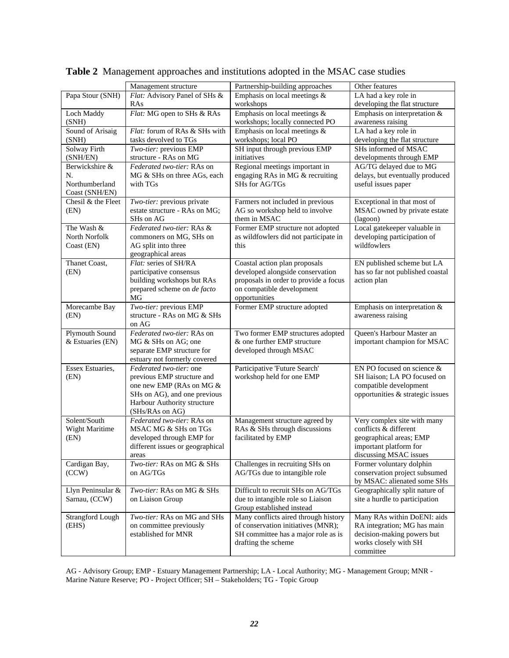|                         |                                                          | Partnership-building approaches                            | Other features                                             |
|-------------------------|----------------------------------------------------------|------------------------------------------------------------|------------------------------------------------------------|
|                         | Management structure                                     | Emphasis on local meetings $\&$                            |                                                            |
| Papa Stour (SNH)        | Flat: Advisory Panel of SHs &<br>RAs                     | workshops                                                  | LA had a key role in<br>developing the flat structure      |
| Loch Maddy              | Flat: MG open to SHs & RAs                               | Emphasis on local meetings &                               | Emphasis on interpretation &                               |
| (SNH)                   |                                                          | workshops; locally connected PO                            | awareness raising                                          |
| Sound of Arisaig        | Flat: forum of RAs & SHs with                            | Emphasis on local meetings &                               | LA had a key role in                                       |
| (SNH)                   | tasks devolved to TGs                                    | workshops; local PO                                        | developing the flat structure                              |
| Solway Firth            | Two-tier: previous EMP                                   | SH input through previous EMP                              | SHs informed of MSAC                                       |
| (SNH/EN)                | structure - RAs on MG                                    | initiatives                                                | developments through EMP                                   |
| Berwickshire &          | Federated two-tier: RAs on                               | Regional meetings important in                             | AG/TG delayed due to MG                                    |
| N.                      | MG & SHs on three AGs, each                              | engaging RAs in MG & recruiting                            | delays, but eventually produced                            |
| Northumberland          | with TGs                                                 | SHs for AG/TGs                                             | useful issues paper                                        |
| Coast (SNH/EN)          |                                                          |                                                            |                                                            |
| Chesil & the Fleet      | Two-tier: previous private                               | Farmers not included in previous                           | Exceptional in that most of                                |
| (EN)                    | estate structure - RAs on MG;                            | AG so workshop held to involve                             | MSAC owned by private estate                               |
|                         | SHs on AG                                                | them in MSAC                                               | (lagoon)                                                   |
| The Wash &              | Federated two-tier: RAs &                                | Former EMP structure not adopted                           | Local gatekeeper valuable in                               |
| North Norfolk           | commoners on MG, SHs on                                  | as wildfowlers did not participate in                      | developing participation of<br>wildfowlers                 |
| Coast (EN)              | AG split into three                                      | this                                                       |                                                            |
| Thanet Coast,           | geographical areas<br>Flat: series of SH/RA              | Coastal action plan proposals                              | EN published scheme but LA                                 |
| (EN)                    | participative consensus                                  | developed alongside conservation                           | has so far not published coastal                           |
|                         | building workshops but RAs                               | proposals in order to provide a focus                      | action plan                                                |
|                         | prepared scheme on de facto                              | on compatible development                                  |                                                            |
|                         | MG                                                       | opportunities                                              |                                                            |
| Morecambe Bay           | Two-tier: previous EMP                                   | Former EMP structure adopted                               | Emphasis on interpretation &                               |
| (EN)                    | structure - RAs on MG & SHs                              |                                                            | awareness raising                                          |
|                         | on AG                                                    |                                                            |                                                            |
| Plymouth Sound          | Federated two-tier: RAs on                               | Two former EMP structures adopted                          | Queen's Harbour Master an                                  |
| & Estuaries (EN)        | MG & SHs on AG; one                                      | & one further EMP structure                                | important champion for MSAC                                |
|                         | separate EMP structure for                               | developed through MSAC                                     |                                                            |
|                         | estuary not formerly covered                             |                                                            |                                                            |
| Essex Estuaries,        | Federated two-tier: one                                  | Participative 'Future Search'                              | EN PO focused on science &                                 |
| (EN)                    | previous EMP structure and                               | workshop held for one EMP                                  | SH liaison; LA PO focused on                               |
|                         | one new EMP (RAs on MG &<br>SHs on AG), and one previous |                                                            | compatible development<br>opportunities & strategic issues |
|                         | Harbour Authority structure                              |                                                            |                                                            |
|                         | (SHs/RAs on AG)                                          |                                                            |                                                            |
| Solent/South            | Federated two-tier: RAs on                               | Management structure agreed by                             | Very complex site with many                                |
| Wight Maritime          | MSAC MG & SHs on TGs                                     | RAs & SHs through discussions                              | conflicts & different                                      |
| (EN)                    | developed through EMP for                                | facilitated by EMP                                         | geographical areas; EMP                                    |
|                         | different issues or geographical                         |                                                            | important platform for                                     |
|                         | areas                                                    |                                                            | discussing MSAC issues                                     |
| Cardigan Bay,           | Two-tier: RAs on MG & SHs                                | Challenges in recruiting SHs on                            | Former voluntary dolphin                                   |
| (CCW)                   | on AG/TGs                                                | AG/TGs due to intangible role                              | conservation project subsumed                              |
|                         |                                                          |                                                            | by MSAC: alienated some SHs                                |
| Llyn Peninsular &       | Two-tier: RAs on MG & SHs                                | Difficult to recruit SHs on AG/TGs                         | Geographically split nature of                             |
| Sarnau, (CCW)           | on Liaison Group                                         | due to intangible role so Liaison                          | site a hurdle to participation                             |
|                         |                                                          | Group established instead                                  |                                                            |
| <b>Strangford Lough</b> | Two-tier: RAs on MG and SHs                              | Many conflicts aired through history                       | Many RAs within DoENI: aids                                |
| (EHS)                   | on committee previously<br>established for MNR           | of conservation initiatives (MNR);                         | RA integration; MG has main<br>decision-making powers but  |
|                         |                                                          | SH committee has a major role as is<br>drafting the scheme | works closely with SH                                      |
|                         |                                                          |                                                            | committee                                                  |
|                         |                                                          |                                                            |                                                            |

**Table 2** Management approaches and institutions adopted in the MSAC case studies

AG - Advisory Group; EMP - Estuary Management Partnership; LA - Local Authority; MG - Management Group; MNR - Marine Nature Reserve; PO - Project Officer; SH – Stakeholders; TG - Topic Group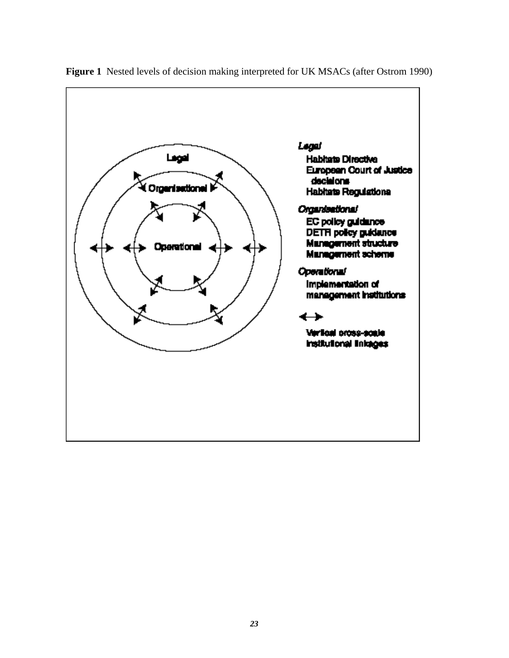

**Figure 1** Nested levels of decision making interpreted for UK MSACs (after Ostrom 1990)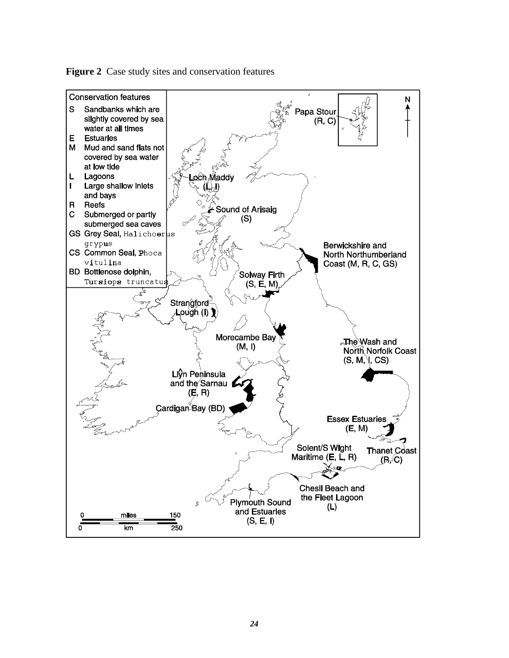

**Figure 2** Case study sites and conservation features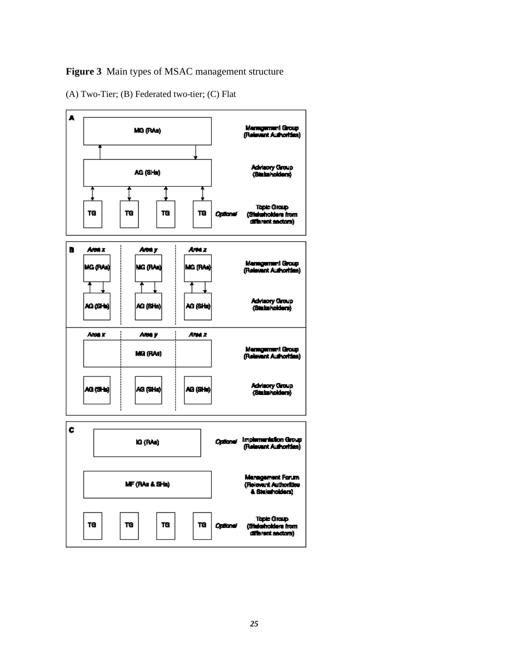## **Figure 3** Main types of MSAC management structure

(A) Two-Tier; (B) Federated two-tier; (C) Flat